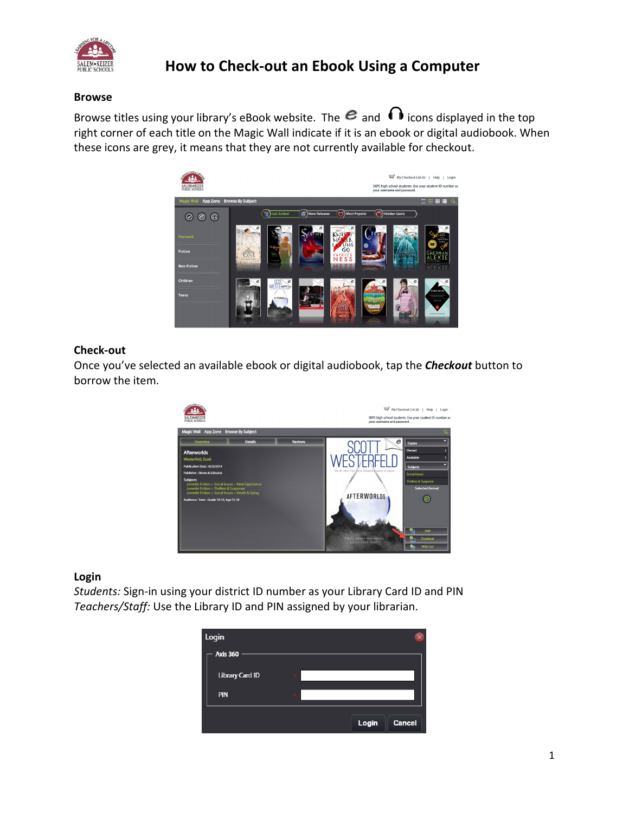

# **How to Check-out an Ebook Using a Computer**

#### **Browse**

Browse titles using your library's eBook website. The  $e$  and  $\cap$  icons displayed in the top right corner of each title on the Magic Wall indicate if it is an ebook or digital audiobook. When these icons are grey, it means that they are not currently available for checkout.



### **Check-out**

Once you've selected an available ebook or digital audiobook, tap the *Checkout* button to borrow the item.



## **Login**

*Students:* Sign-in using your district ID number as your Library Card ID and PIN *Teachers/Staff:* Use the Library ID and PIN assigned by your librarian.